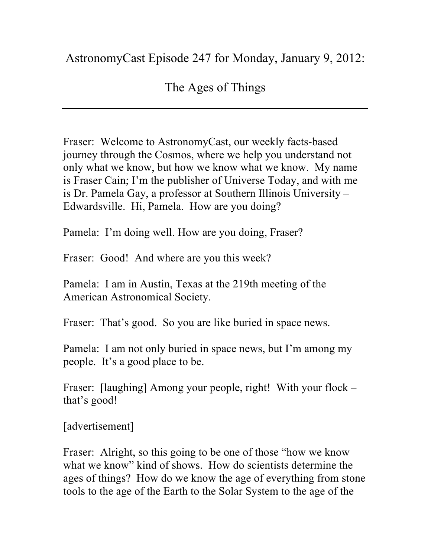## AstronomyCast Episode 247 for Monday, January 9, 2012:

## The Ages of Things

Fraser: Welcome to AstronomyCast, our weekly facts-based journey through the Cosmos, where we help you understand not only what we know, but how we know what we know. My name is Fraser Cain; I'm the publisher of Universe Today, and with me is Dr. Pamela Gay, a professor at Southern Illinois University – Edwardsville. Hi, Pamela. How are you doing?

Pamela: I'm doing well. How are you doing, Fraser?

Fraser: Good! And where are you this week?

Pamela: I am in Austin, Texas at the 219th meeting of the American Astronomical Society.

Fraser: That's good. So you are like buried in space news.

Pamela: I am not only buried in space news, but I'm among my people. It's a good place to be.

Fraser: [laughing] Among your people, right! With your flock – that's good!

[advertisement]

Fraser: Alright, so this going to be one of those "how we know what we know" kind of shows. How do scientists determine the ages of things? How do we know the age of everything from stone tools to the age of the Earth to the Solar System to the age of the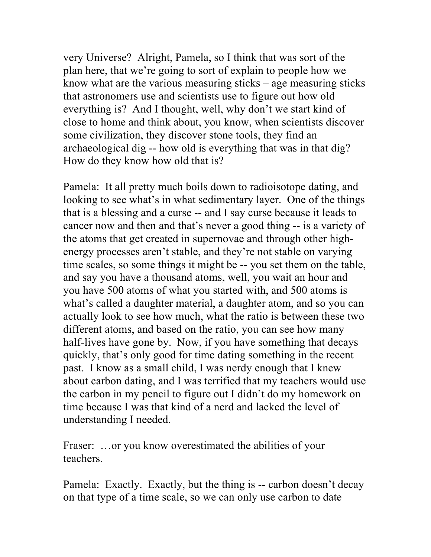very Universe? Alright, Pamela, so I think that was sort of the plan here, that we're going to sort of explain to people how we know what are the various measuring sticks – age measuring sticks that astronomers use and scientists use to figure out how old everything is? And I thought, well, why don't we start kind of close to home and think about, you know, when scientists discover some civilization, they discover stone tools, they find an archaeological dig -- how old is everything that was in that dig? How do they know how old that is?

Pamela: It all pretty much boils down to radioisotope dating, and looking to see what's in what sedimentary layer. One of the things that is a blessing and a curse -- and I say curse because it leads to cancer now and then and that's never a good thing -- is a variety of the atoms that get created in supernovae and through other highenergy processes aren't stable, and they're not stable on varying time scales, so some things it might be -- you set them on the table, and say you have a thousand atoms, well, you wait an hour and you have 500 atoms of what you started with, and 500 atoms is what's called a daughter material, a daughter atom, and so you can actually look to see how much, what the ratio is between these two different atoms, and based on the ratio, you can see how many half-lives have gone by. Now, if you have something that decays quickly, that's only good for time dating something in the recent past. I know as a small child, I was nerdy enough that I knew about carbon dating, and I was terrified that my teachers would use the carbon in my pencil to figure out I didn't do my homework on time because I was that kind of a nerd and lacked the level of understanding I needed.

Fraser: ... or you know overestimated the abilities of your teachers.

Pamela: Exactly. Exactly, but the thing is -- carbon doesn't decay on that type of a time scale, so we can only use carbon to date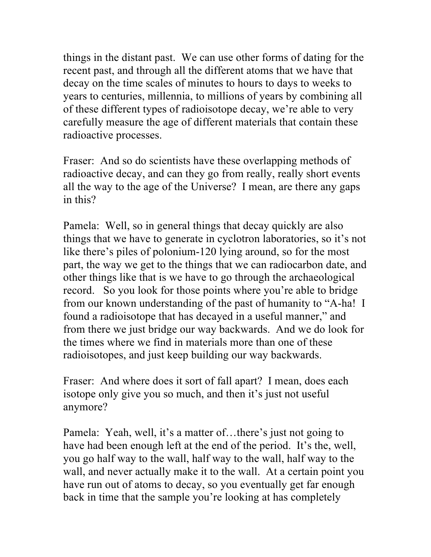things in the distant past. We can use other forms of dating for the recent past, and through all the different atoms that we have that decay on the time scales of minutes to hours to days to weeks to years to centuries, millennia, to millions of years by combining all of these different types of radioisotope decay, we're able to very carefully measure the age of different materials that contain these radioactive processes.

Fraser: And so do scientists have these overlapping methods of radioactive decay, and can they go from really, really short events all the way to the age of the Universe? I mean, are there any gaps in this?

Pamela: Well, so in general things that decay quickly are also things that we have to generate in cyclotron laboratories, so it's not like there's piles of polonium-120 lying around, so for the most part, the way we get to the things that we can radiocarbon date, and other things like that is we have to go through the archaeological record. So you look for those points where you're able to bridge from our known understanding of the past of humanity to "A-ha! I found a radioisotope that has decayed in a useful manner," and from there we just bridge our way backwards. And we do look for the times where we find in materials more than one of these radioisotopes, and just keep building our way backwards.

Fraser: And where does it sort of fall apart? I mean, does each isotope only give you so much, and then it's just not useful anymore?

Pamela: Yeah, well, it's a matter of…there's just not going to have had been enough left at the end of the period. It's the, well, you go half way to the wall, half way to the wall, half way to the wall, and never actually make it to the wall. At a certain point you have run out of atoms to decay, so you eventually get far enough back in time that the sample you're looking at has completely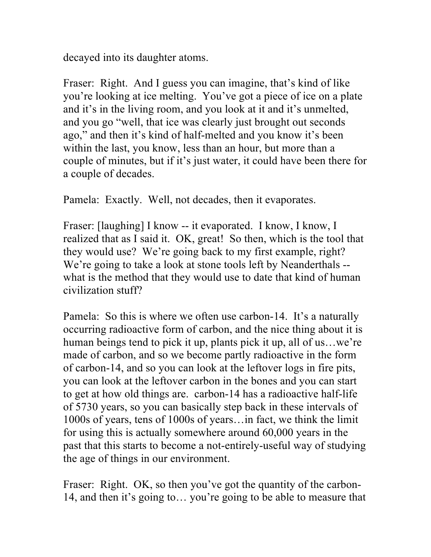decayed into its daughter atoms.

Fraser: Right. And I guess you can imagine, that's kind of like you're looking at ice melting. You've got a piece of ice on a plate and it's in the living room, and you look at it and it's unmelted, and you go "well, that ice was clearly just brought out seconds ago," and then it's kind of half-melted and you know it's been within the last, you know, less than an hour, but more than a couple of minutes, but if it's just water, it could have been there for a couple of decades.

Pamela: Exactly. Well, not decades, then it evaporates.

Fraser: [laughing] I know -- it evaporated. I know, I know, I realized that as I said it. OK, great! So then, which is the tool that they would use? We're going back to my first example, right? We're going to take a look at stone tools left by Neanderthals -what is the method that they would use to date that kind of human civilization stuff?

Pamela: So this is where we often use carbon-14. It's a naturally occurring radioactive form of carbon, and the nice thing about it is human beings tend to pick it up, plants pick it up, all of us...we're made of carbon, and so we become partly radioactive in the form of carbon-14, and so you can look at the leftover logs in fire pits, you can look at the leftover carbon in the bones and you can start to get at how old things are. carbon-14 has a radioactive half-life of 5730 years, so you can basically step back in these intervals of 1000s of years, tens of 1000s of years…in fact, we think the limit for using this is actually somewhere around 60,000 years in the past that this starts to become a not-entirely-useful way of studying the age of things in our environment.

Fraser: Right. OK, so then you've got the quantity of the carbon-14, and then it's going to… you're going to be able to measure that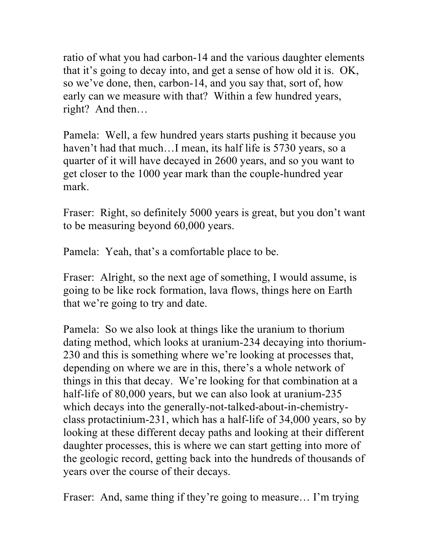ratio of what you had carbon-14 and the various daughter elements that it's going to decay into, and get a sense of how old it is. OK, so we've done, then, carbon-14, and you say that, sort of, how early can we measure with that? Within a few hundred years, right? And then…

Pamela: Well, a few hundred years starts pushing it because you haven't had that much...I mean, its half life is 5730 years, so a quarter of it will have decayed in 2600 years, and so you want to get closer to the 1000 year mark than the couple-hundred year mark.

Fraser: Right, so definitely 5000 years is great, but you don't want to be measuring beyond 60,000 years.

Pamela: Yeah, that's a comfortable place to be.

Fraser: Alright, so the next age of something, I would assume, is going to be like rock formation, lava flows, things here on Earth that we're going to try and date.

Pamela: So we also look at things like the uranium to thorium dating method, which looks at uranium-234 decaying into thorium-230 and this is something where we're looking at processes that, depending on where we are in this, there's a whole network of things in this that decay. We're looking for that combination at a half-life of 80,000 years, but we can also look at uranium-235 which decays into the generally-not-talked-about-in-chemistryclass protactinium-231, which has a half-life of 34,000 years, so by looking at these different decay paths and looking at their different daughter processes, this is where we can start getting into more of the geologic record, getting back into the hundreds of thousands of years over the course of their decays.

Fraser: And, same thing if they're going to measure... I'm trying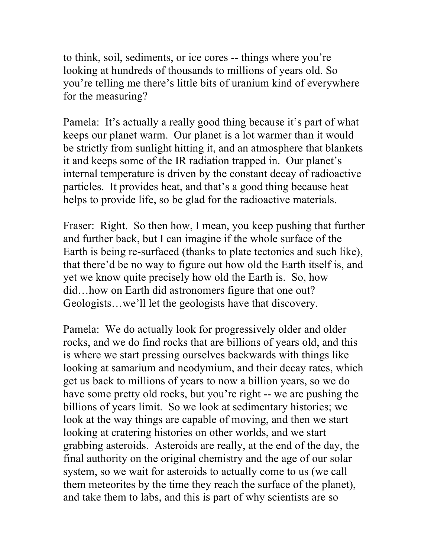to think, soil, sediments, or ice cores -- things where you're looking at hundreds of thousands to millions of years old. So you're telling me there's little bits of uranium kind of everywhere for the measuring?

Pamela: It's actually a really good thing because it's part of what keeps our planet warm. Our planet is a lot warmer than it would be strictly from sunlight hitting it, and an atmosphere that blankets it and keeps some of the IR radiation trapped in. Our planet's internal temperature is driven by the constant decay of radioactive particles. It provides heat, and that's a good thing because heat helps to provide life, so be glad for the radioactive materials.

Fraser: Right. So then how, I mean, you keep pushing that further and further back, but I can imagine if the whole surface of the Earth is being re-surfaced (thanks to plate tectonics and such like), that there'd be no way to figure out how old the Earth itself is, and yet we know quite precisely how old the Earth is. So, how did…how on Earth did astronomers figure that one out? Geologists…we'll let the geologists have that discovery.

Pamela: We do actually look for progressively older and older rocks, and we do find rocks that are billions of years old, and this is where we start pressing ourselves backwards with things like looking at samarium and neodymium, and their decay rates, which get us back to millions of years to now a billion years, so we do have some pretty old rocks, but you're right -- we are pushing the billions of years limit. So we look at sedimentary histories; we look at the way things are capable of moving, and then we start looking at cratering histories on other worlds, and we start grabbing asteroids. Asteroids are really, at the end of the day, the final authority on the original chemistry and the age of our solar system, so we wait for asteroids to actually come to us (we call them meteorites by the time they reach the surface of the planet), and take them to labs, and this is part of why scientists are so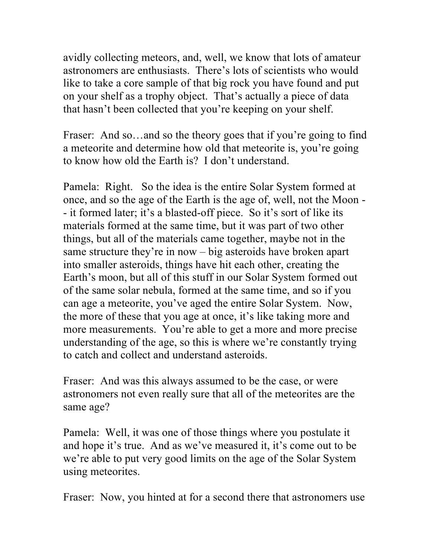avidly collecting meteors, and, well, we know that lots of amateur astronomers are enthusiasts. There's lots of scientists who would like to take a core sample of that big rock you have found and put on your shelf as a trophy object. That's actually a piece of data that hasn't been collected that you're keeping on your shelf.

Fraser: And so...and so the theory goes that if you're going to find a meteorite and determine how old that meteorite is, you're going to know how old the Earth is? I don't understand.

Pamela: Right. So the idea is the entire Solar System formed at once, and so the age of the Earth is the age of, well, not the Moon - - it formed later; it's a blasted-off piece. So it's sort of like its materials formed at the same time, but it was part of two other things, but all of the materials came together, maybe not in the same structure they're in now – big asteroids have broken apart into smaller asteroids, things have hit each other, creating the Earth's moon, but all of this stuff in our Solar System formed out of the same solar nebula, formed at the same time, and so if you can age a meteorite, you've aged the entire Solar System. Now, the more of these that you age at once, it's like taking more and more measurements. You're able to get a more and more precise understanding of the age, so this is where we're constantly trying to catch and collect and understand asteroids.

Fraser: And was this always assumed to be the case, or were astronomers not even really sure that all of the meteorites are the same age?

Pamela: Well, it was one of those things where you postulate it and hope it's true. And as we've measured it, it's come out to be we're able to put very good limits on the age of the Solar System using meteorites.

Fraser: Now, you hinted at for a second there that astronomers use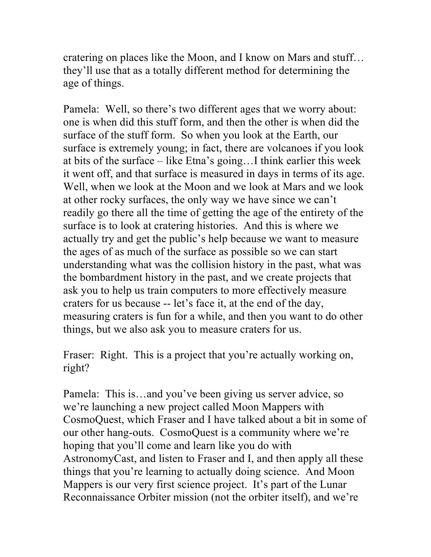cratering on places like the Moon, and I know on Mars and stuff… they'll use that as a totally different method for determining the age of things.

Pamela: Well, so there's two different ages that we worry about: one is when did this stuff form, and then the other is when did the surface of the stuff form. So when you look at the Earth, our surface is extremely young; in fact, there are volcanoes if you look at bits of the surface – like Etna's going…I think earlier this week it went off, and that surface is measured in days in terms of its age. Well, when we look at the Moon and we look at Mars and we look at other rocky surfaces, the only way we have since we can't readily go there all the time of getting the age of the entirety of the surface is to look at cratering histories. And this is where we actually try and get the public's help because we want to measure the ages of as much of the surface as possible so we can start understanding what was the collision history in the past, what was the bombardment history in the past, and we create projects that ask you to help us train computers to more effectively measure craters for us because -- let's face it, at the end of the day, measuring craters is fun for a while, and then you want to do other things, but we also ask you to measure craters for us.

Fraser: Right. This is a project that you're actually working on, right?

Pamela: This is…and you've been giving us server advice, so we're launching a new project called Moon Mappers with CosmoQuest, which Fraser and I have talked about a bit in some of our other hang-outs. CosmoQuest is a community where we're hoping that you'll come and learn like you do with AstronomyCast, and listen to Fraser and I, and then apply all these things that you're learning to actually doing science. And Moon Mappers is our very first science project. It's part of the Lunar Reconnaissance Orbiter mission (not the orbiter itself), and we're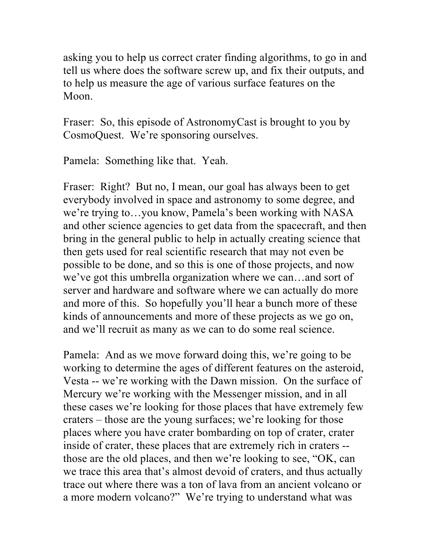asking you to help us correct crater finding algorithms, to go in and tell us where does the software screw up, and fix their outputs, and to help us measure the age of various surface features on the Moon.

Fraser: So, this episode of AstronomyCast is brought to you by CosmoQuest. We're sponsoring ourselves.

Pamela: Something like that. Yeah.

Fraser: Right? But no, I mean, our goal has always been to get everybody involved in space and astronomy to some degree, and we're trying to…you know, Pamela's been working with NASA and other science agencies to get data from the spacecraft, and then bring in the general public to help in actually creating science that then gets used for real scientific research that may not even be possible to be done, and so this is one of those projects, and now we've got this umbrella organization where we can…and sort of server and hardware and software where we can actually do more and more of this. So hopefully you'll hear a bunch more of these kinds of announcements and more of these projects as we go on, and we'll recruit as many as we can to do some real science.

Pamela: And as we move forward doing this, we're going to be working to determine the ages of different features on the asteroid, Vesta -- we're working with the Dawn mission. On the surface of Mercury we're working with the Messenger mission, and in all these cases we're looking for those places that have extremely few craters – those are the young surfaces; we're looking for those places where you have crater bombarding on top of crater, crater inside of crater, these places that are extremely rich in craters - those are the old places, and then we're looking to see, "OK, can we trace this area that's almost devoid of craters, and thus actually trace out where there was a ton of lava from an ancient volcano or a more modern volcano?" We're trying to understand what was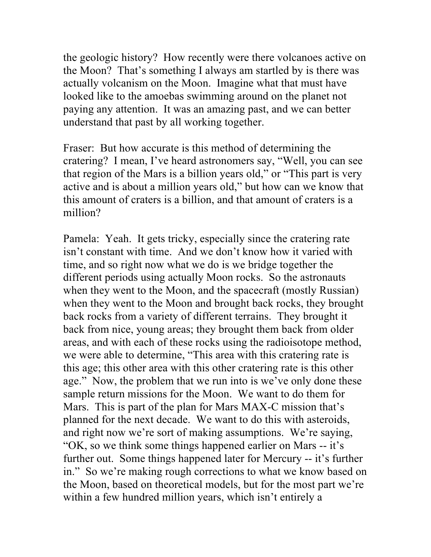the geologic history? How recently were there volcanoes active on the Moon? That's something I always am startled by is there was actually volcanism on the Moon. Imagine what that must have looked like to the amoebas swimming around on the planet not paying any attention. It was an amazing past, and we can better understand that past by all working together.

Fraser: But how accurate is this method of determining the cratering? I mean, I've heard astronomers say, "Well, you can see that region of the Mars is a billion years old," or "This part is very active and is about a million years old," but how can we know that this amount of craters is a billion, and that amount of craters is a million?

Pamela: Yeah. It gets tricky, especially since the cratering rate isn't constant with time. And we don't know how it varied with time, and so right now what we do is we bridge together the different periods using actually Moon rocks. So the astronauts when they went to the Moon, and the spacecraft (mostly Russian) when they went to the Moon and brought back rocks, they brought back rocks from a variety of different terrains. They brought it back from nice, young areas; they brought them back from older areas, and with each of these rocks using the radioisotope method, we were able to determine, "This area with this cratering rate is this age; this other area with this other cratering rate is this other age." Now, the problem that we run into is we've only done these sample return missions for the Moon. We want to do them for Mars. This is part of the plan for Mars MAX-C mission that's planned for the next decade. We want to do this with asteroids, and right now we're sort of making assumptions. We're saying, "OK, so we think some things happened earlier on Mars -- it's further out. Some things happened later for Mercury -- it's further in." So we're making rough corrections to what we know based on the Moon, based on theoretical models, but for the most part we're within a few hundred million years, which isn't entirely a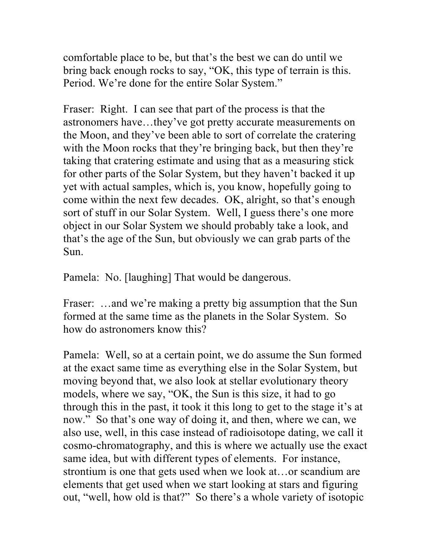comfortable place to be, but that's the best we can do until we bring back enough rocks to say, "OK, this type of terrain is this. Period. We're done for the entire Solar System."

Fraser: Right. I can see that part of the process is that the astronomers have…they've got pretty accurate measurements on the Moon, and they've been able to sort of correlate the cratering with the Moon rocks that they're bringing back, but then they're taking that cratering estimate and using that as a measuring stick for other parts of the Solar System, but they haven't backed it up yet with actual samples, which is, you know, hopefully going to come within the next few decades. OK, alright, so that's enough sort of stuff in our Solar System. Well, I guess there's one more object in our Solar System we should probably take a look, and that's the age of the Sun, but obviously we can grab parts of the Sun.

Pamela: No. [laughing] That would be dangerous.

Fraser: ...and we're making a pretty big assumption that the Sun formed at the same time as the planets in the Solar System. So how do astronomers know this?

Pamela: Well, so at a certain point, we do assume the Sun formed at the exact same time as everything else in the Solar System, but moving beyond that, we also look at stellar evolutionary theory models, where we say, "OK, the Sun is this size, it had to go through this in the past, it took it this long to get to the stage it's at now." So that's one way of doing it, and then, where we can, we also use, well, in this case instead of radioisotope dating, we call it cosmo-chromatography, and this is where we actually use the exact same idea, but with different types of elements. For instance, strontium is one that gets used when we look at…or scandium are elements that get used when we start looking at stars and figuring out, "well, how old is that?" So there's a whole variety of isotopic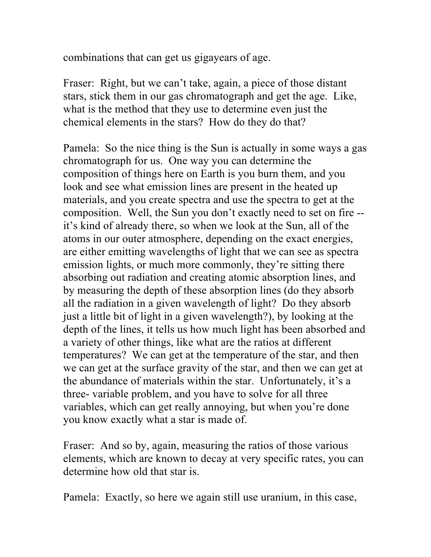combinations that can get us gigayears of age.

Fraser: Right, but we can't take, again, a piece of those distant stars, stick them in our gas chromatograph and get the age. Like, what is the method that they use to determine even just the chemical elements in the stars? How do they do that?

Pamela: So the nice thing is the Sun is actually in some ways a gas chromatograph for us. One way you can determine the composition of things here on Earth is you burn them, and you look and see what emission lines are present in the heated up materials, and you create spectra and use the spectra to get at the composition. Well, the Sun you don't exactly need to set on fire - it's kind of already there, so when we look at the Sun, all of the atoms in our outer atmosphere, depending on the exact energies, are either emitting wavelengths of light that we can see as spectra emission lights, or much more commonly, they're sitting there absorbing out radiation and creating atomic absorption lines, and by measuring the depth of these absorption lines (do they absorb all the radiation in a given wavelength of light? Do they absorb just a little bit of light in a given wavelength?), by looking at the depth of the lines, it tells us how much light has been absorbed and a variety of other things, like what are the ratios at different temperatures? We can get at the temperature of the star, and then we can get at the surface gravity of the star, and then we can get at the abundance of materials within the star. Unfortunately, it's a three- variable problem, and you have to solve for all three variables, which can get really annoying, but when you're done you know exactly what a star is made of.

Fraser: And so by, again, measuring the ratios of those various elements, which are known to decay at very specific rates, you can determine how old that star is.

Pamela: Exactly, so here we again still use uranium, in this case,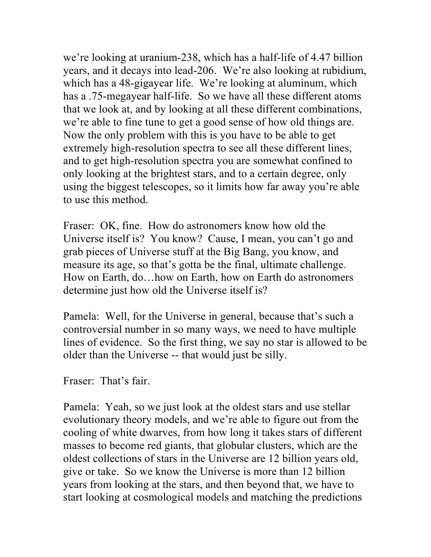we're looking at uranium-238, which has a half-life of 4.47 billion years, and it decays into lead-206. We're also looking at rubidium, which has a 48-gigayear life. We're looking at aluminum, which has a .75-megayear half-life. So we have all these different atoms that we look at, and by looking at all these different combinations, we're able to fine tune to get a good sense of how old things are. Now the only problem with this is you have to be able to get extremely high-resolution spectra to see all these different lines, and to get high-resolution spectra you are somewhat confined to only looking at the brightest stars, and to a certain degree, only using the biggest telescopes, so it limits how far away you're able to use this method.

Fraser: OK, fine. How do astronomers know how old the Universe itself is? You know? Cause, I mean, you can't go and grab pieces of Universe stuff at the Big Bang, you know, and measure its age, so that's gotta be the final, ultimate challenge. How on Earth, do…how on Earth, how on Earth do astronomers determine just how old the Universe itself is?

Pamela: Well, for the Universe in general, because that's such a controversial number in so many ways, we need to have multiple lines of evidence. So the first thing, we say no star is allowed to be older than the Universe -- that would just be silly.

Fraser: That's fair.

Pamela: Yeah, so we just look at the oldest stars and use stellar evolutionary theory models, and we're able to figure out from the cooling of white dwarves, from how long it takes stars of different masses to become red giants, that globular clusters, which are the oldest collections of stars in the Universe are 12 billion years old, give or take. So we know the Universe is more than 12 billion years from looking at the stars, and then beyond that, we have to start looking at cosmological models and matching the predictions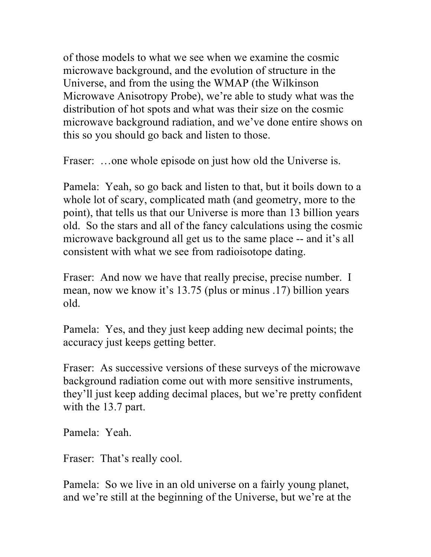of those models to what we see when we examine the cosmic microwave background, and the evolution of structure in the Universe, and from the using the WMAP (the Wilkinson Microwave Anisotropy Probe), we're able to study what was the distribution of hot spots and what was their size on the cosmic microwave background radiation, and we've done entire shows on this so you should go back and listen to those.

Fraser: ...one whole episode on just how old the Universe is.

Pamela: Yeah, so go back and listen to that, but it boils down to a whole lot of scary, complicated math (and geometry, more to the point), that tells us that our Universe is more than 13 billion years old. So the stars and all of the fancy calculations using the cosmic microwave background all get us to the same place -- and it's all consistent with what we see from radioisotope dating.

Fraser: And now we have that really precise, precise number. I mean, now we know it's 13.75 (plus or minus .17) billion years old.

Pamela: Yes, and they just keep adding new decimal points; the accuracy just keeps getting better.

Fraser: As successive versions of these surveys of the microwave background radiation come out with more sensitive instruments, they'll just keep adding decimal places, but we're pretty confident with the 13.7 part.

Pamela: Yeah.

Fraser: That's really cool.

Pamela: So we live in an old universe on a fairly young planet, and we're still at the beginning of the Universe, but we're at the